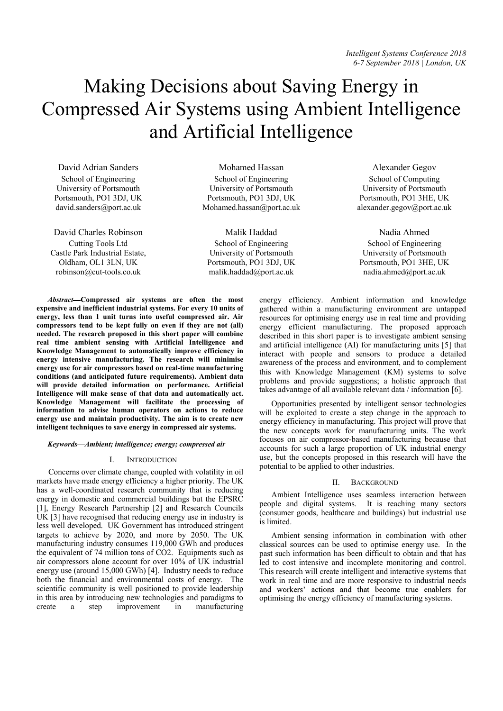# Making Decisions about Saving Energy in Compressed Air Systems using Ambient Intelligence and Artificial Intelligence

David Adrian Sanders School of Engineering University of Portsmouth Portsmouth, PO1 3DJ, UK david.sanders@port.ac.uk

David Charles Robinson Cutting Tools Ltd Castle Park Industrial Estate, Oldham, OL1 3LN, UK robinson@cut-tools.co.uk

Mohamed Hassan School of Engineering University of Portsmouth Portsmouth, PO1 3DJ, UK Mohamed.hassan@port.ac.uk

Malik Haddad School of Engineering University of Portsmouth Portsmouth, PO1 3DJ, UK malik.haddad@port.ac.uk

*Abstract* Compressed air systems are often the most expensive and inefficient industrial systems. For every 10 units of energy, less than 1 unit turns into useful compressed air. Air compressors tend to be kept fully on even if they are not (all) needed. The research proposed in this short paper will combine real time ambient sensing with Artificial Intelligence and Knowledge Management to automatically improve efficiency in energy intensive manufacturing. The research will minimise energy use for air compressors based on real-time manufacturing conditions (and anticipated future requirements). Ambient data will provide detailed information on performance. Artificial Intelligence will make sense of that data and automatically act. Knowledge Management will facilitate the processing of information to advise human operators on actions to reduce energy use and maintain productivity. The aim is to create new intelligent techniques to save energy in compressed air systems.

*Keywords Ambient; intelligence; energy; compressed air* 

## I. INTRODUCTION

Concerns over climate change, coupled with volatility in oil markets have made energy efficiency a higher priority. The UK has a well-coordinated research community that is reducing energy in domestic and commercial buildings but the EPSRC [1], Energy Research Partnership [2] and Research Councils UK [3] have recognised that reducing energy use in industry is less well developed. UK Government has introduced stringent targets to achieve by 2020, and more by 2050. The UK manufacturing industry consumes 119,000 GWh and produces the equivalent of 74 million tons of CO2. Equipments such as air compressors alone account for over 10% of UK industrial energy use (around 15,000 GWh) [4]. Industry needs to reduce both the financial and environmental costs of energy. The scientific community is well positioned to provide leadership in this area by introducing new technologies and paradigms to create a step improvement in manufacturing create a step improvement in manufacturing

School of Computing University of Portsmouth Portsmouth, PO1 3HE, UK alexander.gegov@port.ac.uk

Alexander Gegov

Nadia Ahmed School of Engineering University of Portsmouth Portsmouth, PO1 3HE, UK nadia.ahmed@port.ac.uk

energy efficiency. Ambient information and knowledge gathered within a manufacturing environment are untapped resources for optimising energy use in real time and providing energy efficient manufacturing. The proposed approach described in this short paper is to investigate ambient sensing and artificial intelligence (AI) for manufacturing units [5] that interact with people and sensors to produce a detailed awareness of the process and environment, and to complement this with Knowledge Management (KM) systems to solve problems and provide suggestions; a holistic approach that takes advantage of all available relevant data / information [6].

Opportunities presented by intelligent sensor technologies will be exploited to create a step change in the approach to energy efficiency in manufacturing. This project will prove that the new concepts work for manufacturing units. The work focuses on air compressor-based manufacturing because that accounts for such a large proportion of UK industrial energy use, but the concepts proposed in this research will have the potential to be applied to other industries.

# II. BACKGROUND

Ambient Intelligence uses seamless interaction between people and digital systems. It is reaching many sectors (consumer goods, healthcare and buildings) but industrial use is limited.

Ambient sensing information in combination with other classical sources can be used to optimise energy use. In the past such information has been difficult to obtain and that has led to cost intensive and incomplete monitoring and control. This research will create intelligent and interactive systems that work in real time and are more responsive to industrial needs and workers' actions and that become true enablers for optimising the energy efficiency of manufacturing systems.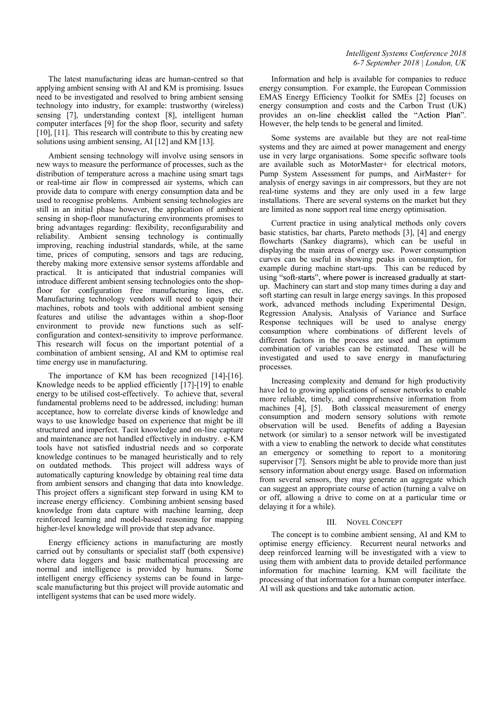The latest manufacturing ideas are human-centred so that applying ambient sensing with AI and KM is promising. Issues need to be investigated and resolved to bring ambient sensing technology into industry, for example: trustworthy (wireless) sensing [7], understanding context [8], intelligent human computer interfaces [9] for the shop floor, security and safety [10], [11]. This research will contribute to this by creating new solutions using ambient sensing, AI [12] and KM [13].

Ambient sensing technology will involve using sensors in new ways to measure the performance of processes, such as the distribution of temperature across a machine using smart tags or real-time air flow in compressed air systems, which can provide data to compare with energy consumption data and be used to recognise problems. Ambient sensing technologies are still in an initial phase however, the application of ambient sensing in shop-floor manufacturing environments promises to bring advantages regarding: flexibility, reconfigurability and reliability. Ambient sensing technology is continually improving, reaching industrial standards, while, at the same time, prices of computing, sensors and tags are reducing, thereby making more extensive sensor systems affordable and practical. It is anticipated that industrial companies will introduce different ambient sensing technologies onto the shopfloor for configuration free manufacturing lines, etc. Manufacturing technology vendors will need to equip their machines, robots and tools with additional ambient sensing features and utilise the advantages within a shop-floor environment to provide new functions such as selfconfiguration and context-sensitivity to improve performance. This research will focus on the important potential of a combination of ambient sensing, AI and KM to optimise real time energy use in manufacturing.

The importance of KM has been recognized [14]-[16]. Knowledge needs to be applied efficiently [17]-[19] to enable energy to be utilised cost-effectively. To achieve that, several fundamental problems need to be addressed, including: human acceptance, how to correlate diverse kinds of knowledge and ways to use knowledge based on experience that might be ill structured and imperfect. Tacit knowledge and on-line capture and maintenance are not handled effectively in industry. e-KM tools have not satisfied industrial needs and so corporate knowledge continues to be managed heuristically and to rely on outdated methods. This project will address ways of automatically capturing knowledge by obtaining real time data from ambient sensors and changing that data into knowledge. This project offers a significant step forward in using KM to increase energy efficiency. Combining ambient sensing based knowledge from data capture with machine learning, deep reinforced learning and model-based reasoning for mapping higher-level knowledge will provide that step advance.

Energy efficiency actions in manufacturing are mostly carried out by consultants or specialist staff (both expensive) where data loggers and basic mathematical processing are normal and intelligence is provided by humans. Some normal and intelligence is provided by humans. intelligent energy efficiency systems can be found in largescale manufacturing but this project will provide automatic and intelligent systems that can be used more widely.

# *Intelligent Systems Conference 2018 6-7 September 2018 | London, UK*

Information and help is available for companies to reduce energy consumption. For example, the European Commission EMAS Energy Efficiency Toolkit for SMEs [2] focuses on energy consumption and costs and the Carbon Trust (UK) provides an on-line checklist called the "Action Plan". However, the help tends to be general and limited.

Some systems are available but they are not real-time systems and they are aimed at power management and energy use in very large organisations. Some specific software tools are available such as MotorMaster+ for electrical motors, Pump System Assessment for pumps, and AirMaster+ for analysis of energy savings in air compressors, but they are not real-time systems and they are only used in a few large installations. There are several systems on the market but they are limited as none support real time energy optimisation.

Current practice in using analytical methods only covers basic statistics, bar charts, Pareto methods [3], [4] and energy flowcharts (Sankey diagrams), which can be useful in displaying the main areas of energy use. Power consumption curves can be useful in showing peaks in consumption, for example during machine start-ups. This can be reduced by using "soft-starts", where power is increased gradually at startup. Machinery can start and stop many times during a day and soft starting can result in large energy savings. In this proposed work, advanced methods including Experimental Design, Regression Analysis, Analysis of Variance and Surface Response techniques will be used to analyse energy consumption where combinations of different levels of different factors in the process are used and an optimum combination of variables can be estimated. These will be investigated and used to save energy in manufacturing processes.

Increasing complexity and demand for high productivity have led to growing applications of sensor networks to enable more reliable, timely, and comprehensive information from machines [4], [5]. Both classical measurement of energy consumption and modern sensory solutions with remote observation will be used. Benefits of adding a Bayesian network (or similar) to a sensor network will be investigated with a view to enabling the network to decide what constitutes an emergency or something to report to a monitoring supervisor [7]. Sensors might be able to provide more than just sensory information about energy usage. Based on information from several sensors, they may generate an aggregate which can suggest an appropriate course of action (turning a valve on or off, allowing a drive to come on at a particular time or delaying it for a while).

## III. NOVEL CONCEPT

The concept is to combine ambient sensing, AI and KM to optimise energy efficiency. Recurrent neural networks and deep reinforced learning will be investigated with a view to using them with ambient data to provide detailed performance information for machine learning. KM will facilitate the processing of that information for a human computer interface. AI will ask questions and take automatic action.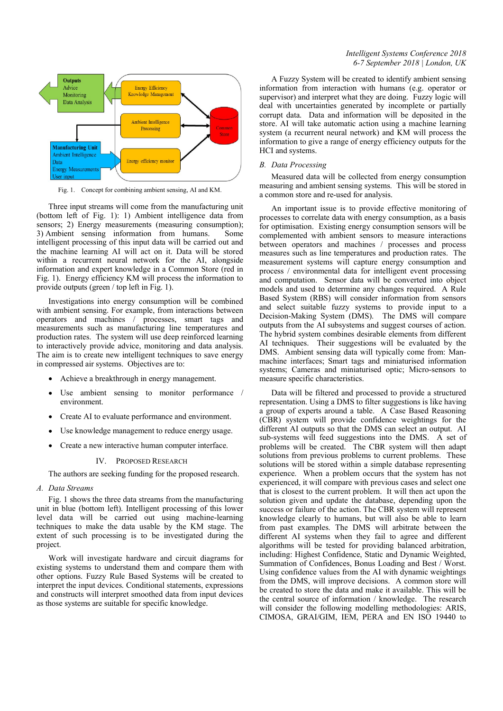

Fig. 1. Concept for combining ambient sensing, AI and KM.

Three input streams will come from the manufacturing unit (bottom left of Fig. 1): 1) Ambient intelligence data from sensors; 2) Energy measurements (measuring consumption); 3) Ambient sensing information from humans. Some intelligent processing of this input data will be carried out and the machine learning AI will act on it. Data will be stored within a recurrent neural network for the AI, alongside information and expert knowledge in a Common Store (red in Fig. 1). Energy efficiency KM will process the information to provide outputs (green / top left in Fig. 1).

Investigations into energy consumption will be combined with ambient sensing. For example, from interactions between operators and machines / processes, smart tags and measurements such as manufacturing line temperatures and production rates. The system will use deep reinforced learning to interactively provide advice, monitoring and data analysis. The aim is to create new intelligent techniques to save energy in compressed air systems. Objectives are to:

- Achieve a breakthrough in energy management.
- Use ambient sensing to monitor performance / environment.
- Create AI to evaluate performance and environment.
- Use knowledge management to reduce energy usage.
- Create a new interactive human computer interface.

## IV. PROPOSED RESEARCH

The authors are seeking funding for the proposed research.

*A. Data Streams*

Fig. 1 shows the three data streams from the manufacturing unit in blue (bottom left). Intelligent processing of this lower level data will be carried out using machine-learning techniques to make the data usable by the KM stage. The extent of such processing is to be investigated during the project.

Work will investigate hardware and circuit diagrams for existing systems to understand them and compare them with other options. Fuzzy Rule Based Systems will be created to interpret the input devices. Conditional statements, expressions and constructs will interpret smoothed data from input devices as those systems are suitable for specific knowledge.

# *Intelligent Systems Conference 2018 6-7 September 2018 | London, UK*

A Fuzzy System will be created to identify ambient sensing information from interaction with humans (e.g. operator or supervisor) and interpret what they are doing. Fuzzy logic will deal with uncertainties generated by incomplete or partially corrupt data. Data and information will be deposited in the store. AI will take automatic action using a machine learning system (a recurrent neural network) and KM will process the information to give a range of energy efficiency outputs for the HCI and systems.

### *B. Data Processing*

Measured data will be collected from energy consumption measuring and ambient sensing systems. This will be stored in a common store and re-used for analysis.

An important issue is to provide effective monitoring of processes to correlate data with energy consumption, as a basis for optimisation. Existing energy consumption sensors will be complemented with ambient sensors to measure interactions between operators and machines / processes and process measures such as line temperatures and production rates. The measurement systems will capture energy consumption and process / environmental data for intelligent event processing and computation. Sensor data will be converted into object models and used to determine any changes required. A Rule Based System (RBS) will consider information from sensors and select suitable fuzzy systems to provide input to a Decision-Making System (DMS). The DMS will compare outputs from the AI subsystems and suggest courses of action. The hybrid system combines desirable elements from different AI techniques. Their suggestions will be evaluated by the DMS. Ambient sensing data will typically come from: Manmachine interfaces; Smart tags and miniaturised information systems; Cameras and miniaturised optic; Micro-sensors to measure specific characteristics.

Data will be filtered and processed to provide a structured representation. Using a DMS to filter suggestions is like having a group of experts around a table. A Case Based Reasoning (CBR) system will provide confidence weightings for the different AI outputs so that the DMS can select an output. AI sub-systems will feed suggestions into the DMS. A set of problems will be created. The CBR system will then adapt solutions from previous problems to current problems. These solutions will be stored within a simple database representing experience. When a problem occurs that the system has not experienced, it will compare with previous cases and select one that is closest to the current problem. It will then act upon the solution given and update the database, depending upon the success or failure of the action. The CBR system will represent knowledge clearly to humans, but will also be able to learn from past examples. The DMS will arbitrate between the different AI systems when they fail to agree and different algorithms will be tested for providing balanced arbitration, including: Highest Confidence, Static and Dynamic Weighted, Summation of Confidences, Bonus Loading and Best / Worst. Using confidence values from the AI with dynamic weightings from the DMS, will improve decisions. A common store will be created to store the data and make it available. This will be the central source of information / knowledge. The research will consider the following modelling methodologies: ARIS, CIMOSA, GRAI/GIM, IEM, PERA and EN ISO 19440 to